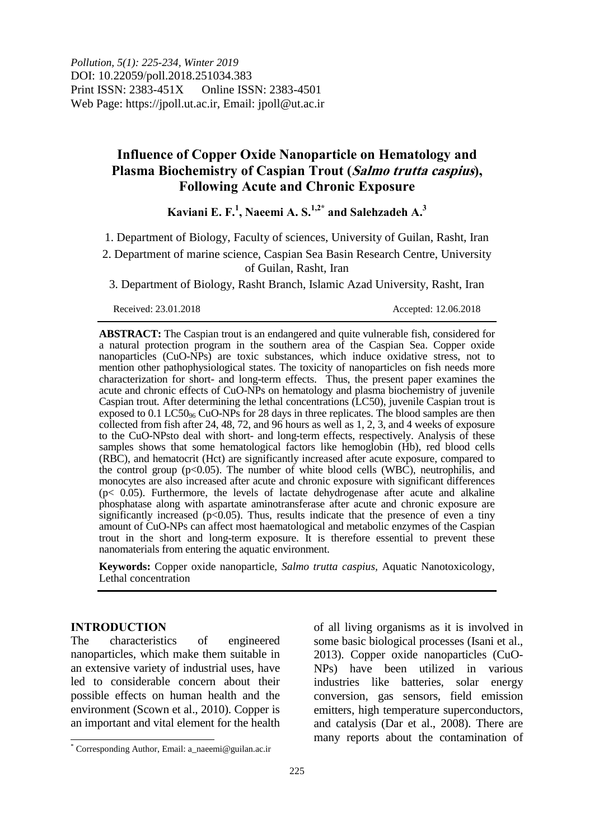# **Influence of Copper Oxide Nanoparticle on Hematology and Plasma Biochemistry of Caspian Trout (Salmo trutta caspius), Following Acute and Chronic Exposure**

# **Kaviani E. F. 1 , Naeemi A. S. 1,2\* and Salehzadeh A. 3**

- 1. Department of Biology, Faculty of sciences, University of Guilan, Rasht, Iran
- 2. Department of marine science, Caspian Sea Basin Research Centre, University of Guilan, Rasht, Iran

3. Department of Biology, Rasht Branch, Islamic Azad University, Rasht, Iran

Received: 23.01.2018 Accepted: 12.06.2018

**ABSTRACT:** The Caspian trout is an endangered and quite vulnerable fish, considered for a natural protection program in the southern area of the Caspian Sea. Copper oxide nanoparticles (CuO-NPs) are toxic substances, which induce oxidative stress, not to mention other pathophysiological states. The toxicity of nanoparticles on fish needs more characterization for short- and long-term effects. Thus, the present paper examines the acute and chronic effects of CuO-NPs on hematology and plasma biochemistry of juvenile Caspian trout*.* After determining the lethal concentrations (LC50), juvenile Caspian trout is exposed to  $0.1$  LC50<sub>96</sub> CuO-NPs for 28 days in three replicates. The blood samples are then collected from fish after 24, 48, 72, and 96 hours as well as 1, 2, 3, and 4 weeks of exposure to the CuO-NPsto deal with short- and long-term effects, respectively. Analysis of these samples shows that some hematological factors like hemoglobin (Hb), red blood cells (RBC), and hematocrit (Hct) are significantly increased after acute exposure, compared to the control group (p<0.05). The number of white blood cells (WBC), neutrophilis, and monocytes are also increased after acute and chronic exposure with significant differences  $(p< 0.05)$ . Furthermore, the levels of lactate dehydrogenase after acute and alkaline phosphatase along with aspartate aminotransferase after acute and chronic exposure are significantly increased ( $p<0.05$ ). Thus, results indicate that the presence of even a tiny amount of CuO-NPs can affect most haematological and metabolic enzymes of the Caspian trout in the short and long-term exposure. It is therefore essential to prevent these nanomaterials from entering the aquatic environment.

**Keywords:** Copper oxide nanoparticle, *Salmo trutta caspius,* Aquatic Nanotoxicology, Lethal concentration

### **INTRODUCTION**

 $\overline{\phantom{a}}$ 

The characteristics of engineered nanoparticles, which make them suitable in an extensive variety of industrial uses, have led to considerable concern about their possible effects on human health and the environment (Scown et al., 2010). Copper is an important and vital element for the health of all living organisms as it is involved in

some basic biological processes (Isani et al., 2013). Copper oxide nanoparticles (CuO-NPs) have been utilized in various industries like batteries, solar energy conversion, gas sensors, field emission emitters, high temperature superconductors, and catalysis (Dar et al., 2008). There are many reports about the contamination of

<sup>\*</sup> Corresponding Author, Email: a\_naeemi@guilan.ac.ir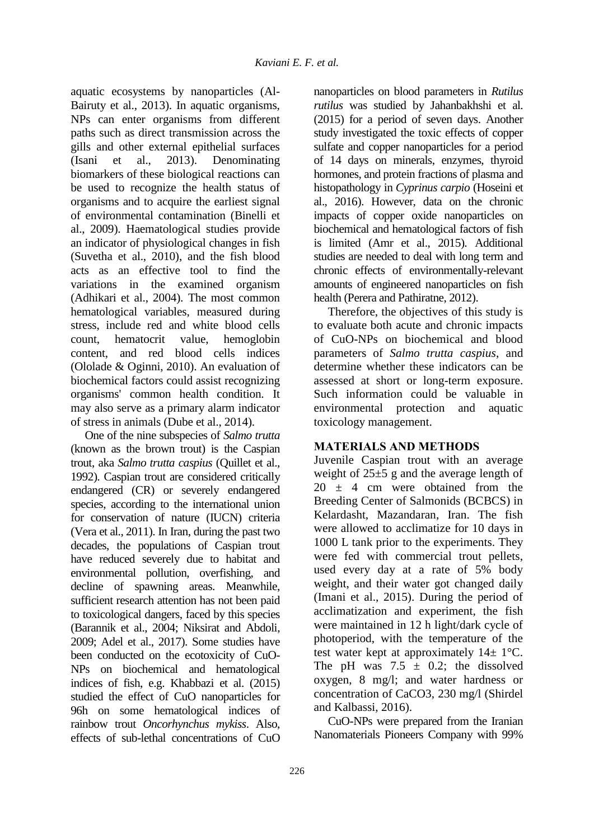aquatic ecosystems by nanoparticles (Al-Bairuty et al., 2013). In aquatic organisms, NPs can enter organisms from different paths such as direct transmission across the gills and other external epithelial surfaces (Isani et al., 2013). Denominating biomarkers of these biological reactions can be used to recognize the health status of organisms and to acquire the earliest signal of environmental contamination (Binelli et al., 2009). Haematological studies provide an indicator of physiological changes in fish (Suvetha et al., 2010), and the fish blood acts as an effective tool to find the variations in the examined organism (Adhikari et al., 2004). The most common hematological variables, measured during stress, include red and white blood cells count, hematocrit value, hemoglobin content, and red blood cells indices (Ololade & Oginni, 2010). An evaluation of biochemical factors could assist recognizing organisms' common health condition. It may also serve as a primary alarm indicator of stress in animals (Dube et al., 2014).

One of the nine subspecies of *Salmo trutta* (known as the brown trout) is the Caspian trout, aka *Salmo trutta caspius* (Quillet et al., 1992). Caspian trout are considered critically endangered (CR) or severely endangered species, according to the international union for conservation of nature (IUCN) criteria (Vera et al., 2011). In Iran, during the past two decades, the populations of Caspian trout have reduced severely due to habitat and environmental pollution, overfishing, and decline of spawning areas. Meanwhile, sufficient research attention has not been paid to toxicological dangers, faced by this species (Barannik et al., 2004; Niksirat and Abdoli, 2009; Adel et al., 2017). Some studies have been conducted on the ecotoxicity of CuO-NPs on biochemical and hematological indices of fish, e.g. Khabbazi et al. (2015) studied the effect of CuO nanoparticles for 96h on some hematological indices of rainbow trout *Oncorhynchus mykiss*. Also, effects of sub-lethal concentrations of CuO

nanoparticles on blood parameters in *Rutilus rutilus* was studied by Jahanbakhshi et al. (2015) for a period of seven days. Another study investigated the toxic effects of copper sulfate and copper nanoparticles for a period of 14 days on minerals, enzymes, thyroid hormones, and protein fractions of plasma and histopathology in *Cyprinus carpio* (Hoseini et al., 2016). However, data on the chronic impacts of copper oxide nanoparticles on biochemical and hematological factors of fish is limited (Amr et al., 2015). Additional studies are needed to deal with long term and chronic effects of environmentally-relevant amounts of engineered nanoparticles on fish health (Perera and Pathiratne, 2012).

Therefore, the objectives of this study is to evaluate both acute and chronic impacts of CuO-NPs on biochemical and blood parameters of *Salmo trutta caspius*, and determine whether these indicators can be assessed at short or long-term exposure. Such information could be valuable in environmental protection and aquatic toxicology management.

# **MATERIALS AND METHODS**

Juvenile Caspian trout with an average weight of 25±5 g and the average length of  $20 \pm 4$  cm were obtained from the Breeding Center of Salmonids (BCBCS) in Kelardasht, Mazandaran, Iran. The fish were allowed to acclimatize for 10 days in 1000 L tank prior to the experiments. They were fed with commercial trout pellets, used every day at a rate of 5% body weight, and their water got changed daily (Imani et al., 2015). During the period of acclimatization and experiment, the fish were maintained in 12 h light/dark cycle of photoperiod, with the temperature of the test water kept at approximately  $14 \pm 1$ °C. The pH was  $7.5 \pm 0.2$ ; the dissolved oxygen, 8 mg/l; and water hardness or concentration of CaCO3, 230 mg/l (Shirdel and Kalbassi, 2016).

CuO-NPs were prepared from the Iranian Nanomaterials Pioneers Company with 99%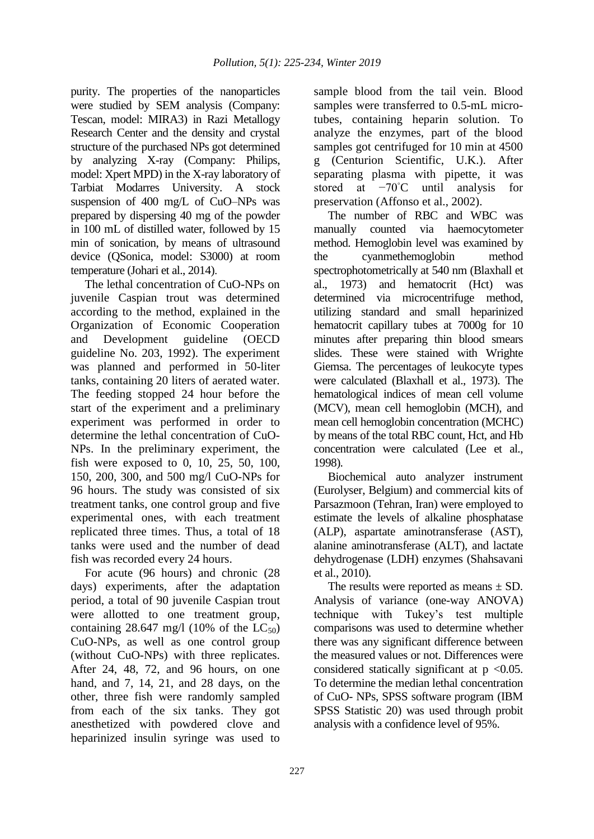purity. The properties of the nanoparticles were studied by SEM analysis (Company: Tescan, model: MIRA3) in Razi Metallogy Research Center and the density and crystal structure of the purchased NPs got determined by analyzing X-ray (Company: Philips, model: Xpert MPD) in the X-ray laboratory of Tarbiat Modarres University. A stock suspension of 400 mg/L of CuO–NPs was prepared by dispersing 40 mg of the powder in 100 mL of distilled water, followed by 15 min of sonication, by means of ultrasound device (QSonica, model: S3000) at room temperature (Johari et al., 2014).

The lethal concentration of CuO-NPs on juvenile Caspian trout was determined according to the method, explained in the Organization of Economic Cooperation and Development guideline (OECD guideline No. 203, 1992). The experiment was planned and performed in 50-liter tanks, containing 20 liters of aerated water. The feeding stopped 24 hour before the start of the experiment and a preliminary experiment was performed in order to determine the lethal concentration of CuO-NPs. In the preliminary experiment, the fish were exposed to 0, 10, 25, 50, 100, 150, 200, 300, and 500 mg/l CuO-NPs for 96 hours. The study was consisted of six treatment tanks, one control group and five experimental ones, with each treatment replicated three times. Thus, a total of 18 tanks were used and the number of dead fish was recorded every 24 hours.

For acute (96 hours) and chronic (28 days) experiments, after the adaptation period, a total of 90 juvenile Caspian trout were allotted to one treatment group, containing 28.647 mg/l (10% of the  $LC_{50}$ ) CuO-NPs, as well as one control group (without CuO-NPs) with three replicates. After 24, 48, 72, and 96 hours, on one hand, and 7, 14, 21, and 28 days, on the other, three fish were randomly sampled from each of the six tanks. They got anesthetized with powdered clove and heparinized insulin syringe was used to

sample blood from the tail vein. Blood samples were transferred to 0.5-mL microtubes, containing heparin solution. To analyze the enzymes, part of the blood samples got centrifuged for 10 min at 4500 g (Centurion Scientific, U.K.). After separating plasma with pipette, it was stored at −70◦C until analysis for preservation (Affonso et al., 2002).

The number of RBC and WBC was manually counted via haemocytometer method. Hemoglobin level was examined by the cyanmethemoglobin method spectrophotometrically at 540 nm (Blaxhall et al., 1973) and hematocrit (Hct) was determined via microcentrifuge method, utilizing standard and small heparinized hematocrit capillary tubes at 7000g for 10 minutes after preparing thin blood smears slides. These were stained with Wrighte Giemsa. The percentages of leukocyte types were calculated (Blaxhall et al., 1973). The hematological indices of mean cell volume (MCV), mean cell hemoglobin (MCH), and mean cell hemoglobin concentration (MCHC) by means of the total RBC count, Hct, and Hb concentration were calculated (Lee et al., 1998).

Biochemical auto analyzer instrument (Eurolyser, Belgium) and commercial kits of Parsazmoon (Tehran, Iran) were employed to estimate the levels of alkaline phosphatase (ALP), aspartate aminotransferase (AST), alanine aminotransferase (ALT), and lactate dehydrogenase (LDH) enzymes (Shahsavani et al., 2010).

The results were reported as means  $\pm$  SD. Analysis of variance (one-way ANOVA) technique with Tukey's test multiple comparisons was used to determine whether there was any significant difference between the measured values or not. Differences were considered statically significant at  $p \le 0.05$ . To determine the median lethal concentration of CuO- NPs, SPSS software program (IBM SPSS Statistic 20) was used through probit analysis with a confidence level of 95%.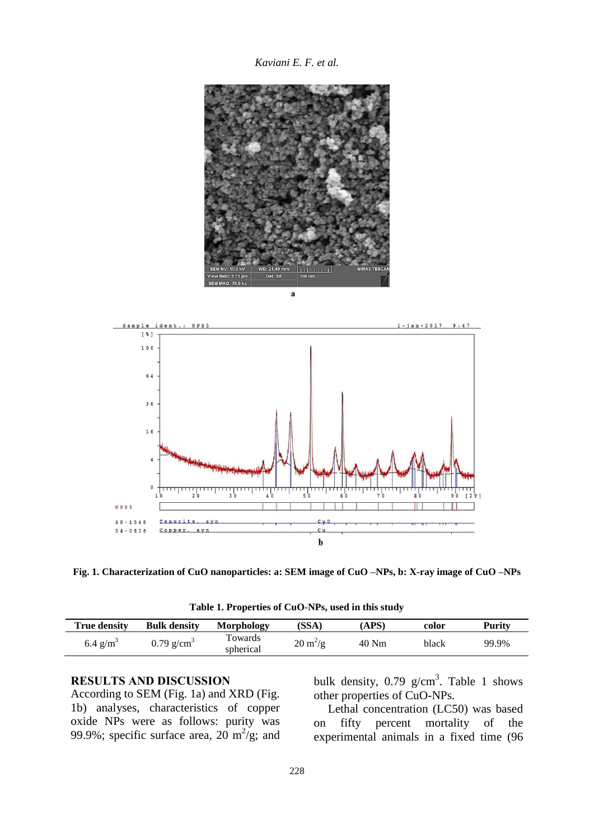*Kaviani E. F. et al.*





**Fig. 1. Characterization of CuO nanoparticles: a: SEM image of CuO –NPs, b: X-ray image of CuO –NPs**

**Table 1. Properties of CuO-NPs, used in this study**

| <b>True density</b>    | <b>Bulk density</b>      | Morphology           | (SSA)                            | APS)  | color | Purity |
|------------------------|--------------------------|----------------------|----------------------------------|-------|-------|--------|
| $6.4$ g/m <sup>3</sup> | $0.79$ g/cm <sup>3</sup> | Towards<br>spherical | $20 \frac{\text{m}^2}{\text{g}}$ | 40 Nm | black | 99.9%  |

#### **RESULTS AND DISCUSSION**

According to SEM (Fig. 1a) and XRD (Fig. 1b) analyses, characteristics of copper oxide NPs were as follows: purity was 99.9%; specific surface area,  $20 \text{ m}^2/\text{g}$ ; and

bulk density,  $0.79$  g/cm<sup>3</sup>. Table 1 shows other properties of CuO-NPs.

Lethal concentration (LC50) was based on fifty percent mortality of the experimental animals in a fixed time (96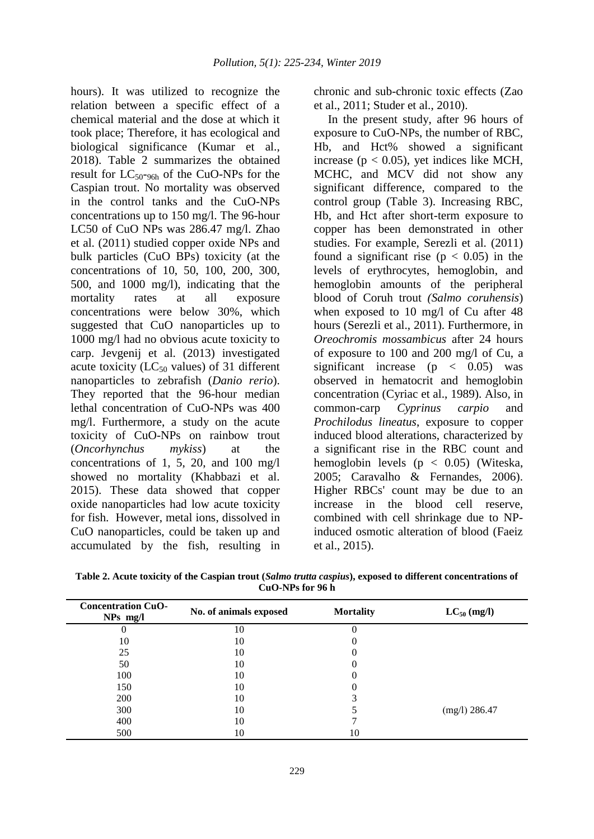hours). It was utilized to recognize the relation between a specific effect of a chemical material and the dose at which it took place; Therefore, it has ecological and biological significance (Kumar et al., 2018). Table 2 summarizes the obtained result for  $LC_{50-96h}$  of the CuO-NPs for the Caspian trout. No mortality was observed in the control tanks and the CuO-NPs concentrations up to 150 mg/l. The 96-hour LC50 of CuO NPs was 286.47 mg/l. Zhao et al. (2011) studied copper oxide NPs and bulk particles (CuO BPs) toxicity (at the concentrations of 10, 50, 100, 200, 300, 500, and 1000 mg/l), indicating that the mortality rates at all exposure concentrations were below 30%, which suggested that CuO nanoparticles up to 1000 mg/l had no obvious acute toxicity to carp. Jevgenij et al. (2013) investigated acute toxicity ( $LC_{50}$  values) of 31 different nanoparticles to zebrafish (*Danio rerio*). They reported that the 96-hour median lethal concentration of CuO-NPs was 400 mg/l. Furthermore, a study on the acute toxicity of CuO-NPs on rainbow trout (*Oncorhynchus mykiss*) at the concentrations of 1, 5, 20, and 100 mg/l showed no mortality (Khabbazi et al. 2015). These data showed that copper oxide nanoparticles had low acute toxicity for fish. However, metal ions, dissolved in CuO nanoparticles, could be taken up and accumulated by the fish, resulting in

chronic and sub-chronic toxic effects (Zao et al., 2011; Studer et al., 2010).

In the present study, after 96 hours of exposure to CuO-NPs, the number of RBC, Hb, and Hct% showed a significant increase ( $p < 0.05$ ), yet indices like MCH, MCHC, and MCV did not show any significant difference, compared to the control group (Table 3). Increasing RBC, Hb, and Hct after short-term exposure to copper has been demonstrated in other studies. For example, Serezli et al. (2011) found a significant rise ( $p < 0.05$ ) in the levels of erythrocytes, hemoglobin, and hemoglobin amounts of the peripheral blood of Coruh trout *(Salmo coruhensis*) when exposed to 10 mg/l of Cu after 48 hours (Serezli et al., 2011). Furthermore, in *Oreochromis mossambicus* after 24 hours of exposure to 100 and 200 mg/l of Cu, a significant increase  $(p \lt 0.05)$  was observed in hematocrit and hemoglobin concentration (Cyriac et al., 1989). Also, in common-carp *Cyprinus carpio* and *Prochilodus lineatus*, exposure to copper induced blood alterations, characterized by a significant rise in the RBC count and hemoglobin levels  $(p < 0.05)$  (Witeska, 2005; Caravalho & Fernandes, 2006). Higher RBCs' count may be due to an increase in the blood cell reserve, combined with cell shrinkage due to NPinduced osmotic alteration of blood (Faeiz et al., 2015).

| Table 2. Acute toxicity of the Caspian trout (Salmo trutta caspius), exposed to different concentrations of |
|-------------------------------------------------------------------------------------------------------------|
| CuO-NPs for 96 h                                                                                            |

| <b>Concentration CuO-</b><br>$NPs$ mg/l | No. of animals exposed | <b>Mortality</b> | $LC_{50}$ (mg/l) |  |
|-----------------------------------------|------------------------|------------------|------------------|--|
|                                         | 10                     |                  |                  |  |
| 10                                      | 10                     |                  |                  |  |
| 25                                      | 10                     |                  |                  |  |
| 50                                      | 10                     |                  |                  |  |
| 100                                     | 10                     |                  |                  |  |
| 150                                     | 10                     |                  |                  |  |
| 200                                     | 10                     |                  |                  |  |
| 300                                     | 10                     |                  | $(mg/l)$ 286.47  |  |
| 400                                     | 10                     |                  |                  |  |
| 500                                     | 10                     | 10               |                  |  |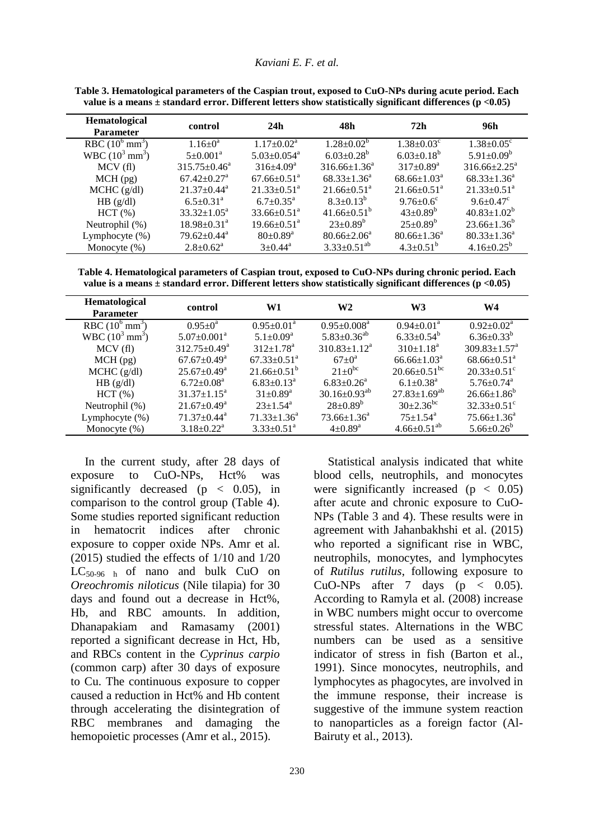| Hematological<br><b>Parameter</b> | control                       | 24h                           | 48h                           | 72h                           | 96h                           |
|-----------------------------------|-------------------------------|-------------------------------|-------------------------------|-------------------------------|-------------------------------|
| RBC $(10^6 \text{ mm}^3)$         | $1.16 \pm 0^a$                | $1.17 \pm 0.02^{\text{a}}$    | $1.28 \pm 0.02^b$             | $1.38 \pm 0.03$ <sup>c</sup>  | $1.38 \pm 0.05^{\circ}$       |
| WBC $(10^3 \text{ mm}^3)$         | $5 \pm 0.001^{\text{a}}$      | $5.03 \pm 0.054$ <sup>a</sup> | $6.03 \pm 0.28$ <sup>b</sup>  | $6.03 \pm 0.18^b$             | $5.91 \pm 0.09^b$             |
| MCV(f)                            | $315.75 \pm 0.46^a$           | $316+4.09^a$                  | $316.66 \pm 1.36^a$           | $317 \pm 0.89^{\rm a}$        | $316.66 \pm 2.25^{\text{a}}$  |
| $MCH$ (pg)                        | $67.42 \pm 0.27$ <sup>a</sup> | $67.66 \pm 0.51$ <sup>a</sup> | $68.33 \pm 1.36^a$            | $68.66 \pm 1.03^{\text{a}}$   | $68.33 \pm 1.36^a$            |
| MCHC (g/dl)                       | $21.37 \pm 0.44^{\text{a}}$   | $21.33 \pm 0.51$ <sup>a</sup> | $21.66 \pm 0.51$ <sup>a</sup> | $21.66 \pm 0.51$ <sup>a</sup> | $21.33 \pm 0.51$ <sup>a</sup> |
| HB (g/dl)                         | $6.5 \pm 0.31$ <sup>a</sup>   | $6.7 \pm 0.35^{\text{a}}$     | $8.3 \pm 0.13^b$              | $9.76 \pm 0.6$ <sup>c</sup>   | $9.6 \pm 0.47$ °              |
| $HCT$ $(\%)$                      | $33.32 \pm 1.05^{\text{a}}$   | $33.66 \pm 0.51$ <sup>a</sup> | $41.66 \pm 0.51^{\circ}$      | $43 \pm 0.89^b$               | $40.83 \pm 1.02^b$            |
| Neutrophil (%)                    | $18.98 \pm 0.31^{\circ}$      | $19.66 \pm 0.51$ <sup>a</sup> | $23 \pm 0.89^b$               | $25 \pm 0.89^b$               | $23.66 \pm 1.36^b$            |
| Lymphocyte (%)                    | $79.62 \pm 0.44$ <sup>a</sup> | $80 \pm 0.89^{\rm a}$         | $80.66 \pm 2.06^{\circ}$      | $80.66 \pm 1.36^{\text{a}}$   | $80.33 \pm 1.36^a$            |
| Monocyte $(\%)$                   | $2.8 \pm 0.62^{\text{a}}$     | $3+0.44^a$                    | $3.33 \pm 0.51^{ab}$          | $4.3 \pm 0.51^b$              | $4.16 \pm 0.25^b$             |

**Table 3. Hematological parameters of the Caspian trout, exposed to CuO-NPs during acute period. Each value is a means ± standard error. Different letters show statistically significant differences (p <0.05)**

**Table 4. Hematological parameters of Caspian trout, exposed to CuO-NPs during chronic period. Each value is a means ± standard error. Different letters show statistically significant differences (p <0.05)**

| Hematological<br><b>Parameter</b> | control                       | W1                            | W2                           | W3                             | W <sub>4</sub>                 |
|-----------------------------------|-------------------------------|-------------------------------|------------------------------|--------------------------------|--------------------------------|
| RBC $(10^6 \text{ mm}^3)$         | $0.95 \pm 0^a$                | $0.95 \pm 0.01^{\text{a}}$    | $0.95 \pm 0.008^a$           | $0.94 \pm 0.01^{\text{a}}$     | $0.92 \pm 0.02^{\text{a}}$     |
| WBC $(10^3 \text{ mm}^3)$         | $5.07 \pm 0.001$ <sup>a</sup> | $5.1 \pm 0.09^a$              | $5.83 \pm 0.36^{ab}$         | $6.33 \pm 0.54^b$              | $6.36 \pm 0.33^b$              |
| MCV(f)                            | $312.75 \pm 0.49^{\circ}$     | $312+1.78^a$                  | $310.83 \pm 1.12^a$          | $310 \pm 1.18^a$               | $309.83 \pm 1.57$ <sup>a</sup> |
| $MCH$ (pg)                        | $67.67 \pm 0.49^{\mathrm{a}}$ | $67.33 \pm 0.51$ <sup>a</sup> | $67+0^a$                     | $66.66 \pm 1.03^{\text{a}}$    | $68.66 \pm 0.51$ <sup>a</sup>  |
| $MCHC$ (g/dl)                     | $25.67 \pm 0.49^{\mathrm{a}}$ | $21.66 \pm 0.51^{\circ}$      | $21 \pm 0^{bc}$              | $20.66 \pm 0.51$ <sup>bc</sup> | $20.33 \pm 0.51$ °             |
| HB (g/dl)                         | $6.72 \pm 0.08^{\text{a}}$    | $6.83 \pm 0.13^a$             | $6.83 \pm 0.26$ <sup>a</sup> | $6.1 \pm 0.38$ <sup>a</sup>    | $5.76 \pm 0.74$ <sup>a</sup>   |
| HCT(%)                            | $31.37 \pm 1.15^a$            | $31 \pm 0.89^{\rm a}$         | $30.16 \pm 0.93^{ab}$        | $27.83 \pm 1.69^{ab}$          | $26.66 \pm 1.86^b$             |
| Neutrophil $(\%)$                 | $21.67 \pm 0.49^{\mathrm{a}}$ | $23 \pm 1.54$ <sup>a</sup>    | $28 \pm 0.89^b$              | $30\pm2.36^{bc}$               | $32.33 \pm 0.51$ °             |
| Lymphocyte $(\%)$                 | $71.37 \pm 0.44$ <sup>a</sup> | $71.33 \pm 1.36^a$            | $73.66 \pm 1.36^a$           | $75 \pm 1.54$ <sup>a</sup>     | $75.66 \pm 1.36^{\circ}$       |
| Monocyte $(\%)$                   | $3.18 \pm 0.22^{\text{a}}$    | $3.33 \pm 0.51$ <sup>a</sup>  | $4\pm 0.89$ <sup>a</sup>     | $4.66 \pm 0.51^{ab}$           | $5.66 \pm 0.26^b$              |

In the current study, after 28 days of exposure to CuO-NPs, Hct% was significantly decreased ( $p < 0.05$ ), in comparison to the control group (Table 4). Some studies reported significant reduction in hematocrit indices after chronic exposure to copper oxide NPs. Amr et al. (2015) studied the effects of 1/10 and 1/20  $LC_{50-96}$  h of nano and bulk CuO on *Oreochromis niloticus* (Nile tilapia) for 30 days and found out a decrease in Hct%, Hb, and RBC amounts. In addition, Dhanapakiam and Ramasamy (2001) reported a significant decrease in Hct, Hb, and RBCs content in the *Cyprinus carpio* (common carp) after 30 days of exposure to Cu. The continuous exposure to copper caused a reduction in Hct% and Hb content through accelerating the disintegration of RBC membranes and damaging the hemopoietic processes (Amr et al., 2015).

230

Statistical analysis indicated that white blood cells, neutrophils, and monocytes were significantly increased ( $p < 0.05$ ) after acute and chronic exposure to CuO-NPs (Table 3 and 4). These results were in agreement with Jahanbakhshi et al. (2015) who reported a significant rise in WBC, neutrophils, monocytes, and lymphocytes of *Rutilus rutilus*, following exposure to CuO-NPs after 7 days ( $p < 0.05$ ). According to Ramyla et al. (2008) increase in WBC numbers might occur to overcome stressful states. Alternations in the WBC numbers can be used as a sensitive indicator of stress in fish (Barton et al., 1991). Since monocytes, neutrophils, and lymphocytes as phagocytes, are involved in the immune response, their increase is suggestive of the immune system reaction to nanoparticles as a foreign factor (Al-Bairuty et al., 2013).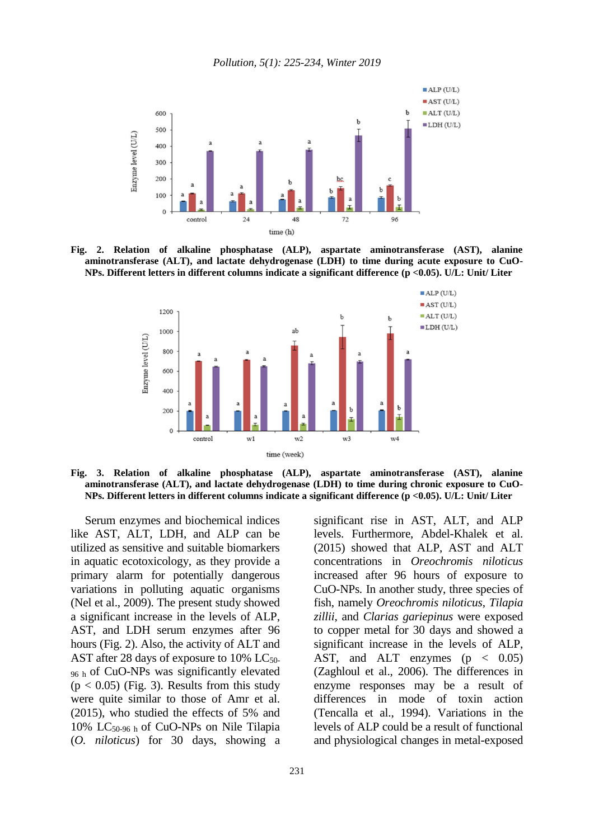

**Fig. 2. Relation of alkaline phosphatase (ALP), aspartate aminotransferase (AST), alanine aminotransferase (ALT), and lactate dehydrogenase (LDH) to time during acute exposure to CuO-NPs. Different letters in different columns indicate a significant difference (p <0.05). U/L: Unit/ Liter**



**Fig. 3. Relation of alkaline phosphatase (ALP), aspartate aminotransferase (AST), alanine aminotransferase (ALT), and lactate dehydrogenase (LDH) to time during chronic exposure to CuO-NPs. Different letters in different columns indicate a significant difference (p <0.05). U/L: Unit/ Liter**

Serum enzymes and biochemical indices like AST, ALT, LDH, and ALP can be utilized as sensitive and suitable biomarkers in aquatic ecotoxicology, as they provide a primary alarm for potentially dangerous variations in polluting aquatic organisms (Nel et al., 2009). The present study showed a significant increase in the levels of ALP, AST, and LDH serum enzymes after 96 hours (Fig. 2). Also, the activity of ALT and AST after 28 days of exposure to 10%  $LC_{50}$ . 96 h of CuO-NPs was significantly elevated  $(p < 0.05)$  (Fig. 3). Results from this study were quite similar to those of Amr et al. (2015), who studied the effects of 5% and 10% LC50-96 h of CuO-NPs on Nile Tilapia (*O. niloticus*) for 30 days, showing a significant rise in AST, ALT, and ALP levels. Furthermore, Abdel-Khalek et al. (2015) showed that ALP, AST and ALT concentrations in *Oreochromis niloticus* increased after 96 hours of exposure to CuO-NPs*.* In another study, three species of fish, namely *Oreochromis niloticus*, *Tilapia zillii*, and *Clarias gariepinus* were exposed to copper metal for 30 days and showed a significant increase in the levels of ALP, AST, and ALT enzymes  $(p < 0.05)$ (Zaghloul et al., 2006). The differences in enzyme responses may be a result of differences in mode of toxin action (Tencalla et al., 1994). Variations in the levels of ALP could be a result of functional and physiological changes in metal-exposed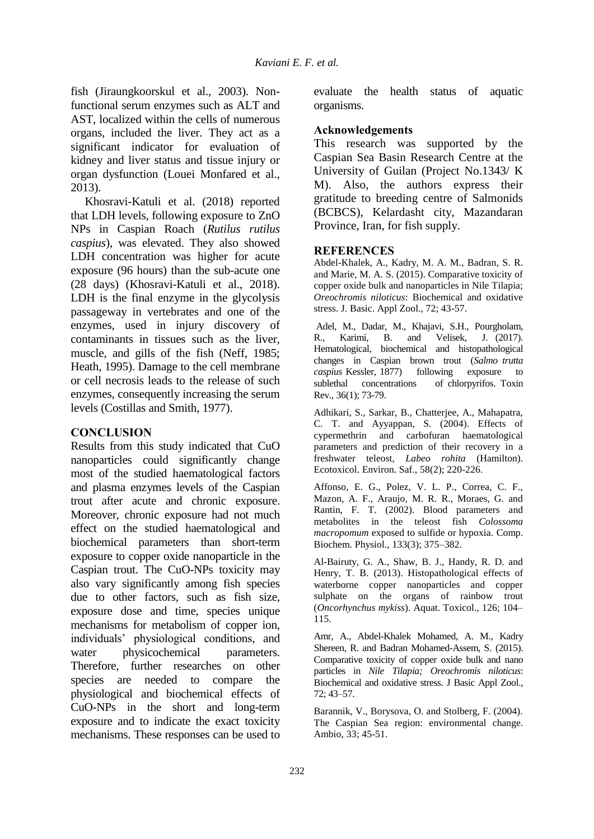fish (Jiraungkoorskul et al., 2003). Nonfunctional serum enzymes such as ALT and AST, localized within the cells of numerous organs, included the liver. They act as a significant indicator for evaluation of kidney and liver status and tissue injury or organ dysfunction (Louei Monfared et al., 2013).

Khosravi-Katuli et al. (2018) reported that LDH levels, following exposure to ZnO NPs in Caspian Roach (*Rutilus rutilus caspius*), was elevated. They also showed LDH concentration was higher for acute exposure (96 hours) than the sub-acute one (28 days) (Khosravi-Katuli et al., 2018). LDH is the final enzyme in the glycolysis passageway in vertebrates and one of the enzymes, used in injury discovery of contaminants in tissues such as the liver, muscle, and gills of the fish (Neff, 1985; Heath, 1995). Damage to the cell membrane or cell necrosis leads to the release of such enzymes, consequently increasing the serum levels (Costillas and Smith, 1977).

# **CONCLUSION**

Results from this study indicated that CuO nanoparticles could significantly change most of the studied haematological factors and plasma enzymes levels of the Caspian trout after acute and chronic exposure. Moreover, chronic exposure had not much effect on the studied haematological and biochemical parameters than short-term exposure to copper oxide nanoparticle in the Caspian trout. The CuO-NPs toxicity may also vary significantly among fish species due to other factors, such as fish size, exposure dose and time, species unique mechanisms for metabolism of copper ion, individuals' physiological conditions, and water physicochemical parameters. Therefore, further researches on other species are needed to compare the physiological and biochemical effects of CuO-NPs in the short and long-term exposure and to indicate the exact toxicity mechanisms. These responses can be used to

evaluate the health status of aquatic organisms.

# **Acknowledgements**

This research was supported by the Caspian Sea Basin Research Centre at the University of Guilan (Project No.1343/ K M). Also, the authors express their gratitude to breeding centre of Salmonids (BCBCS), Kelardasht city, Mazandaran Province, Iran, for fish supply.

#### **REFERENCES**

Abdel-Khalek, A., Kadry, M. A. M., Badran, S. R. and Marie, M. A. S. (2015). Comparative toxicity of copper oxide bulk and nanoparticles in Nile Tilapia; *Oreochromis niloticus*: Biochemical and oxidative stress. J. Basic. Appl Zool., 72; 43-57.

Adel, M., Dadar, M., Khajavi, S.H., Pourgholam, R., Karimí, B. and Velisek, J. (2017). Hematological, biochemical and histopathological changes in Caspian brown trout (*Salmo trutta caspius* Kessler, 1877) following exposure to sublethal concentrations of chlorpyrifos. Toxin Rev., 36(1); 73-79.

Adhikari, S., Sarkar, B., Chatterjee, A., Mahapatra, C. T. and Ayyappan, S. (2004). Effects of cypermethrin and carbofuran haematological parameters and prediction of their recovery in a freshwater teleost, *Labeo rohita* (Hamilton). Ecotoxicol. Environ. Saf., 58(2); 220-226.

Affonso, E. G., Polez, V. L. P., Correa, C. F., Mazon, A. F., Araujo, M. R. R., Moraes, G. and Rantin, F. T. (2002). Blood parameters and metabolites in the teleost fish *Colossoma macropomum* exposed to sulfide or hypoxia. Comp. Biochem. Physiol., 133(3); 375–382.

Al-Bairuty, G. A., Shaw, B. J., Handy, R. D. and Henry, T. B. (2013). Histopathological effects of waterborne copper nanoparticles and copper sulphate on the organs of rainbow trout (*Oncorhynchus mykiss*). Aquat. Toxicol., 126; 104– 115.

Amr, A., Abdel-Khalek Mohamed, A. M., Kadry Shereen, R. and Badran Mohamed-Assem, S. (2015). Comparative toxicity of copper oxide bulk and nano particles in *Nile Tilapia; Oreochromis niloticus*: Biochemical and oxidative stress. J Basic Appl Zool., 72; 43–57.

Barannik, V., Borysova, O. and Stolberg, F. (2004). The Caspian Sea region: environmental change. Ambio, 33; 45-51.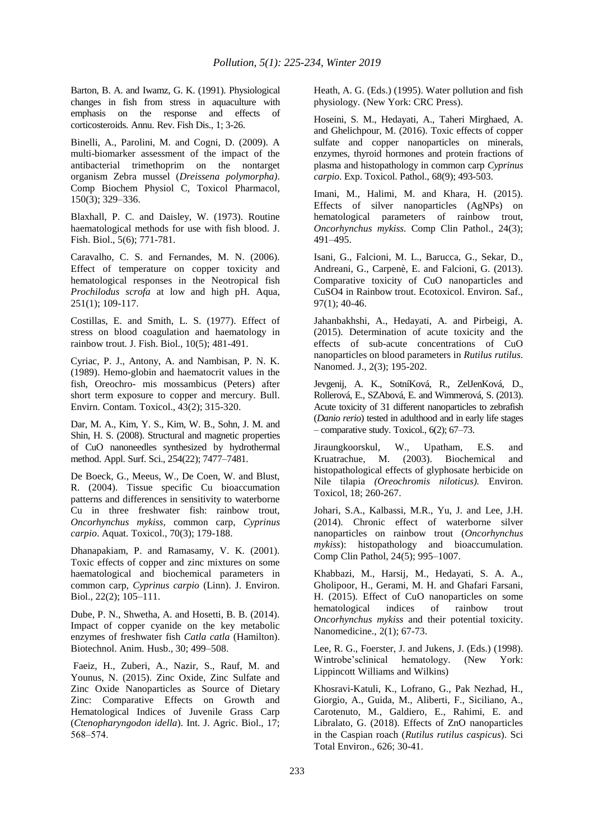Barton, B. A. and Iwamz, G. K. (1991). Physiological changes in fish from stress in aquaculture with emphasis on the response and effects of corticosteroids. Annu. Rev. Fish Dis., 1; 3-26.

Binelli, A., Parolini, M. and Cogni, D. (2009). A multi-biomarker assessment of the impact of the antibacterial trimethoprim on the nontarget organism Zebra mussel (*Dreissena polymorpha)*. Comp Biochem Physiol C, Toxicol Pharmacol, 150(3); 329–336.

Blaxhall, P. C. and Daisley, W. (1973). Routine haematological methods for use with fish blood. J. Fish. Biol., 5(6); 771-781.

Caravalho, C. S. and Fernandes, M. N. (2006). Effect of temperature on copper toxicity and hematological responses in the Neotropical fish *Prochilodus scrofa* at low and high pH. Aqua, 251(1); 109-117.

Costillas, E. and Smith, L. S. (1977). Effect of stress on blood coagulation and haematology in rainbow trout. J. Fish. Biol., 10(5); 481-491.

Cyriac, P. J., Antony, A. and Nambisan, P. N. K. (1989). Hemo-globin and haematocrit values in the fish, Oreochro- mis mossambicus (Peters) after short term exposure to copper and mercury. Bull. Envirn. Contam. Toxicol., 43(2); 315-320.

Dar, M. A., Kim, Y. S., Kim, W. B., Sohn, J. M. and Shin, H. S. (2008). Structural and magnetic properties of CuO nanoneedles synthesized by hydrothermal method. Appl. Surf. Sci., 254(22); 7477–7481.

De Boeck, G., Meeus, W., De Coen, W. and Blust, R. (2004). Tissue specific Cu bioaccumation patterns and differences in sensitivity to waterborne Cu in three freshwater fish: rainbow trout, *Oncorhynchus mykiss*, common carp, *Cyprinus carpio*. Aquat. Toxicol., 70(3); 179-188.

Dhanapakiam, P. and Ramasamy, V. K. (2001). Toxic effects of copper and zinc mixtures on some haematological and biochemical parameters in common carp, *Cyprinus carpio* (Linn). J. Environ. Biol., 22(2); 105–111.

Dube, P. N., Shwetha, A. and Hosetti, B. B. (2014). Impact of copper cyanide on the key metabolic enzymes of freshwater fish *Catla catla* (Hamilton). Biotechnol. Anim. Husb., 30; 499–508.

Faeiz, H., Zuberi, A., Nazir, S., Rauf, M. and Younus, N. (2015). Zinc Oxide, Zinc Sulfate and Zinc Oxide Nanoparticles as Source of Dietary Zinc: Comparative Effects on Growth and Hematological Indices of Juvenile Grass Carp (*Ctenopharyngodon idella*). Int. J. Agric. Biol., 17; 568‒574.

Heath, A. G. (Eds.) (1995). Water pollution and fish physiology. (New York: CRC Press).

Hoseini, S. M., Hedayati, A., Taheri Mirghaed, A. and Ghelichpour, M. (2016). Toxic effects of copper sulfate and copper nanoparticles on minerals, enzymes, thyroid hormones and protein fractions of plasma and histopathology in common carp *Cyprinus carpio*. Exp. Toxicol. Pathol., 68(9); 493-503.

Imani, M., Halimi, M. and Khara, H. (2015). Effects of silver nanoparticles (AgNPs) on hematological parameters of rainbow trout, *Oncorhynchus mykiss.* Comp Clin Pathol., 24(3); 491–495.

Isani, G., Falcioni, M. L., Barucca, G., Sekar, D., Andreani, G., Carpenè, E. and Falcioni, G. (2013). Comparative toxicity of CuO nanoparticles and CuSO4 in Rainbow trout. Ecotoxicol. Environ. Saf., 97(1); 40-46.

Jahanbakhshi, A., Hedayati, A. and Pirbeigi, A. (2015). Determination of acute toxicity and the effects of sub-acute concentrations of CuO nanoparticles on blood parameters in *Rutilus rutilus*. Nanomed. J., 2(3); 195-202.

Jevgenij, A. K., SotníKová, R., ZelJenKová, D., Rollerová, E., SZAbová, E. and Wimmerová, S. (2013). Acute toxicity of 31 different nanoparticles to zebrafish (*Danio rerio*) tested in adulthood and in early life stages – comparative study. Toxicol., 6(2); 67–73.

Jiraungkoorskul, W., Upatham, E.S. and Kruatrachue, M. (2003). Biochemical and histopathological effects of glyphosate herbicide on Nile tilapia *(Oreochromis niloticus).* Environ. Toxicol, 18; 260-267.

Johari, S.A., Kalbassi, M.R., Yu, J. and Lee, J.H. (2014). Chronic effect of waterborne silver nanoparticles on rainbow trout (*Oncorhynchus mykiss*): histopathology and bioaccumulation. Comp Clin Pathol, 24(5); 995–1007.

Khabbazi, M., Harsij, M., Hedayati, S. A. A., Gholipoor, H., Gerami, M. H. and Ghafari Farsani, H. (2015). Effect of CuO nanoparticles on some hematological indices of rainbow trout *Oncorhynchus mykiss* and their potential toxicity. Nanomedicine., 2(1); 67-73.

Lee, R. G., Foerster, J. and Jukens, J. (Eds.) (1998). Wintrobe'sclinical hematology. (New York: Lippincott Williams and Wilkins)

Khosravi-Katuli, K., Lofrano, G., Pak Nezhad, H., Giorgio, A., Guida, M., Aliberti, F., Siciliano, A., Carotenuto, M., Galdiero, E., Rahimi, E. and Libralato, G. (2018). Effects of ZnO nanoparticles in the Caspian roach (*Rutilus rutilus caspicus*). Sci Total Environ., 626; 30-41.